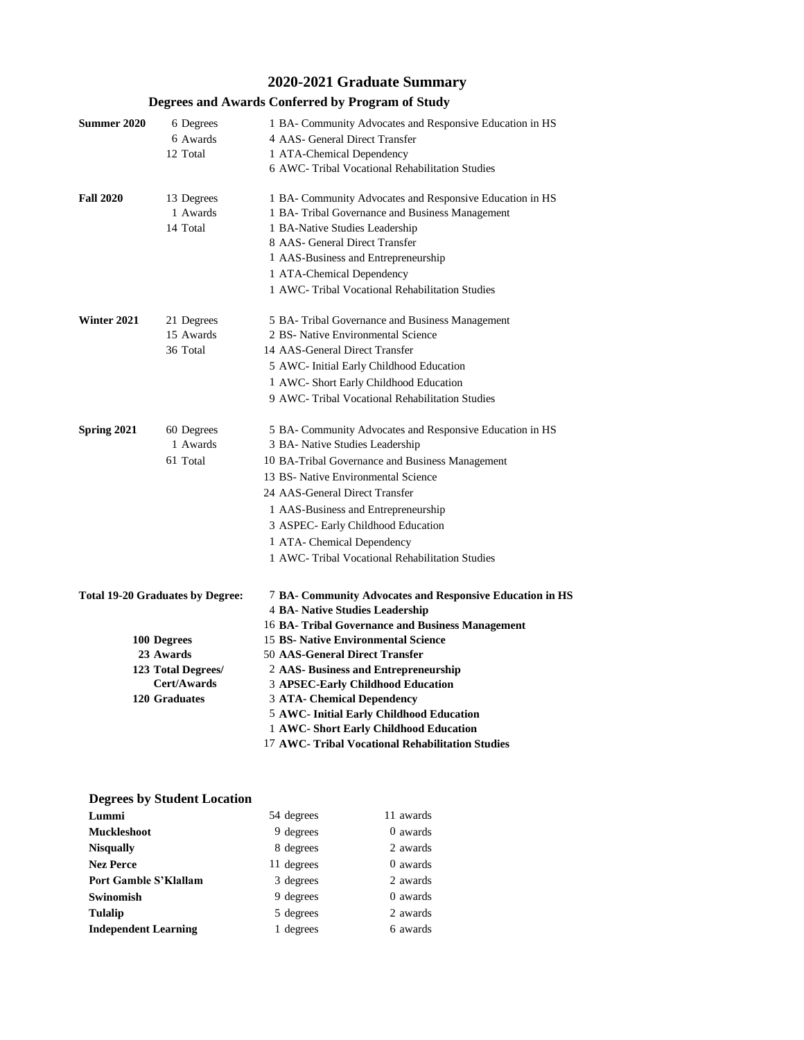# **2020-2021 Graduate Summary**

## **Degrees and Awards Conferred by Program of Study**

| <b>Summer 2020</b>                             | 6 Degrees<br>6 Awards<br>12 Total   | 1 BA- Community Advocates and Responsive Education in HS<br>4 AAS- General Direct Transfer<br>1 ATA-Chemical Dependency<br>6 AWC- Tribal Vocational Rehabilitation Studies                                                                                                                                                                                                            |  |  |  |
|------------------------------------------------|-------------------------------------|---------------------------------------------------------------------------------------------------------------------------------------------------------------------------------------------------------------------------------------------------------------------------------------------------------------------------------------------------------------------------------------|--|--|--|
| <b>Fall 2020</b>                               | 13 Degrees<br>1 Awards<br>14 Total  | 1 BA- Community Advocates and Responsive Education in HS<br>1 BA- Tribal Governance and Business Management<br>1 BA-Native Studies Leadership<br>8 AAS- General Direct Transfer<br>1 AAS-Business and Entrepreneurship<br>1 ATA-Chemical Dependency<br>1 AWC- Tribal Vocational Rehabilitation Studies                                                                                |  |  |  |
| Winter 2021                                    | 21 Degrees<br>15 Awards<br>36 Total | 5 BA- Tribal Governance and Business Management<br>2 BS- Native Environmental Science<br>14 AAS-General Direct Transfer<br>5 AWC- Initial Early Childhood Education<br>1 AWC- Short Early Childhood Education<br>9 AWC- Tribal Vocational Rehabilitation Studies                                                                                                                      |  |  |  |
| Spring 2021                                    | 60 Degrees<br>1 Awards<br>61 Total  | 5 BA- Community Advocates and Responsive Education in HS<br>3 BA- Native Studies Leadership<br>10 BA-Tribal Governance and Business Management<br>13 BS- Native Environmental Science<br>24 AAS-General Direct Transfer<br>1 AAS-Business and Entrepreneurship<br>3 ASPEC- Early Childhood Education<br>1 ATA- Chemical Dependency<br>1 AWC- Tribal Vocational Rehabilitation Studies |  |  |  |
| <b>Total 19-20 Graduates by Degree:</b>        |                                     | 7 BA- Community Advocates and Responsive Education in HS<br>4 BA- Native Studies Leadership<br>16 BA- Tribal Governance and Business Management                                                                                                                                                                                                                                       |  |  |  |
|                                                | 100 Degrees                         | <b>15 BS- Native Environmental Science</b>                                                                                                                                                                                                                                                                                                                                            |  |  |  |
| 23 Awards<br>123 Total Degrees/<br>Cert/Awards |                                     | <b>50 AAS-General Direct Transfer</b>                                                                                                                                                                                                                                                                                                                                                 |  |  |  |
|                                                |                                     | 2 AAS- Business and Entrepreneurship                                                                                                                                                                                                                                                                                                                                                  |  |  |  |
|                                                |                                     | 3 APSEC-Early Childhood Education                                                                                                                                                                                                                                                                                                                                                     |  |  |  |
|                                                | 120 Graduates                       | <b>3 ATA- Chemical Dependency</b>                                                                                                                                                                                                                                                                                                                                                     |  |  |  |
|                                                |                                     | 5 AWC- Initial Early Childhood Education                                                                                                                                                                                                                                                                                                                                              |  |  |  |
|                                                |                                     | 1 AWC- Short Early Childhood Education                                                                                                                                                                                                                                                                                                                                                |  |  |  |
|                                                |                                     | 17 AWC- Tribal Vocational Rehabilitation Studies                                                                                                                                                                                                                                                                                                                                      |  |  |  |

## **Degrees by Student Location**

| Lummi                        | 54 degrees | 11 awards |
|------------------------------|------------|-----------|
| <b>Muckleshoot</b>           | 9 degrees  | 0 awards  |
| <b>Nisqually</b>             | 8 degrees  | 2 awards  |
| <b>Nez Perce</b>             | 11 degrees | 0 awards  |
| <b>Port Gamble S'Klallam</b> | 3 degrees  | 2 awards  |
| Swinomish                    | 9 degrees  | 0 awards  |
| <b>Tulalip</b>               | 5 degrees  | 2 awards  |
| <b>Independent Learning</b>  | 1 degrees  | 6 awards  |